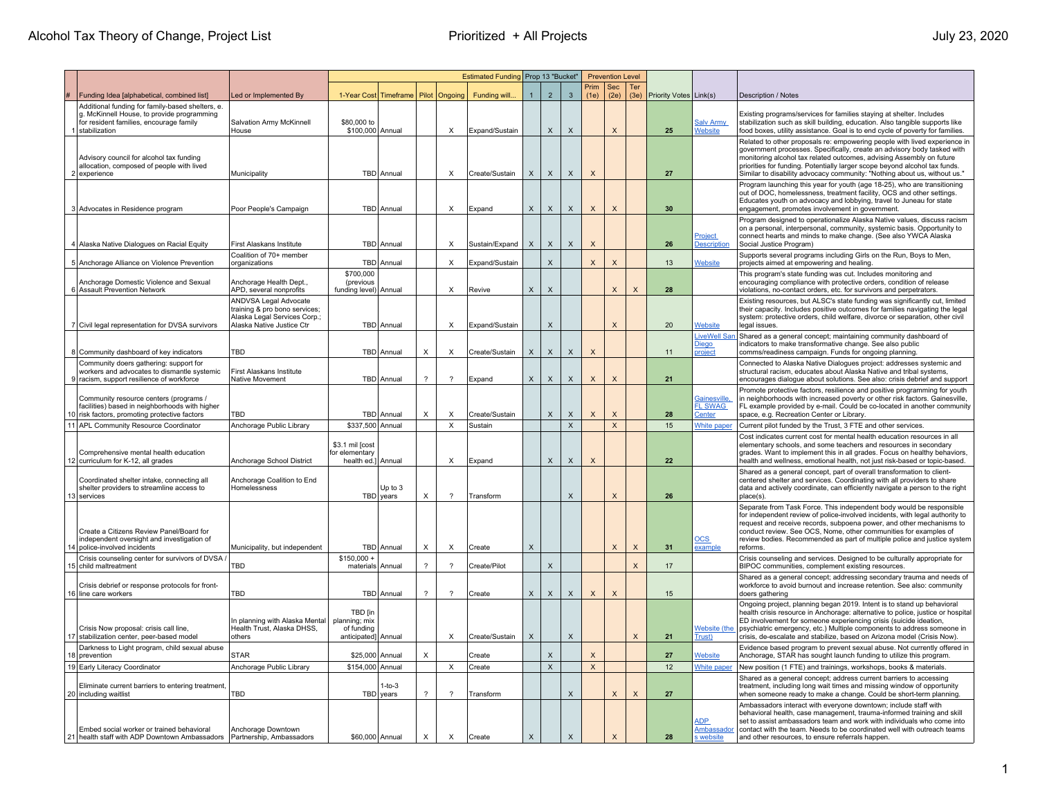| <b>Estimated Funding Prop 13 "Bucket"</b><br><b>Prevention Level</b>                                                                                         |                                                                                                                     |                                                               |                      |                          |                           |                                                         |          |                           |                           |                           |              |                           |                               |                                                       |                                                                                                                                                                                                                                                                                                                                                                                          |
|--------------------------------------------------------------------------------------------------------------------------------------------------------------|---------------------------------------------------------------------------------------------------------------------|---------------------------------------------------------------|----------------------|--------------------------|---------------------------|---------------------------------------------------------|----------|---------------------------|---------------------------|---------------------------|--------------|---------------------------|-------------------------------|-------------------------------------------------------|------------------------------------------------------------------------------------------------------------------------------------------------------------------------------------------------------------------------------------------------------------------------------------------------------------------------------------------------------------------------------------------|
| Funding Idea [alphabetical, combined list]                                                                                                                   | Led or Implemented By                                                                                               |                                                               |                      |                          |                           | 1-Year Cost Timeframe   Pilot   Ongoing   Funding will. |          | $2^{\circ}$               | $\mathbf{3}$              | Prim<br>(1e)              | Sec<br>(2e)  | Ter<br>(3e)               | <b>Priority Votes Link(s)</b> |                                                       | Description / Notes                                                                                                                                                                                                                                                                                                                                                                      |
| Additional funding for family-based shelters, e.<br>g. McKinnell House, to provide programming<br>for resident families, encourage family<br>1 stabilization | Salvation Army McKinnell<br>House                                                                                   | \$80,000 to<br>\$100,000 Annual                               |                      |                          | X                         | Expand/Sustain                                          |          | X                         | $\mathsf X$               |                           | X            |                           | 25                            | <b>Salv Army</b><br>Website                           | Existing programs/services for families staying at shelter. Includes<br>stabilization such as skill building, education. Also tangible supports like<br>food boxes, utility assistance. Goal is to end cycle of poverty for families.                                                                                                                                                    |
| Advisory council for alcohol tax funding<br>allocation, composed of people with lived<br>experience                                                          | Municipality                                                                                                        |                                                               | TBD Annual           |                          | $\times$                  | Create/Sustain                                          | X        | $\mathsf X$               | X                         | $\times$                  |              |                           | 27                            |                                                       | Related to other proposals re: empowering people with lived experience in<br>government processes. Specifically, create an advisory body tasked with<br>monitoring alcohol tax related outcomes, advising Assembly on future<br>priorities for funding. Potentially larger scope beyond alcohol tax funds.<br>Similar to disability advocacy community: "Nothing about us, without us."  |
| 3 Advocates in Residence program                                                                                                                             | Poor People's Campaign                                                                                              |                                                               | TBD Annual           |                          | $\boldsymbol{\mathsf{x}}$ | Expand                                                  | X        | $\mathsf X$               | $\mathsf X$               | $\mathsf{x}$              | $\mathsf{x}$ |                           | 30                            |                                                       | Program launching this year for youth (age 18-25), who are transitioning<br>out of DOC, homelessness, treatment facility, OCS and other settings.<br>Educates youth on advocacy and lobbying, travel to Juneau for state<br>engagement, promotes involvement in government.                                                                                                              |
| 4 Alaska Native Dialogues on Racial Equity                                                                                                                   | First Alaskans Institute                                                                                            |                                                               | TBD Annual           |                          | $\times$                  | Sustain/Expand                                          | X        | X                         | X                         | $\times$                  |              |                           | 26                            | Project<br><b>Description</b>                         | Program designed to operationalize Alaska Native values, discuss racism<br>on a personal, interpersonal, community, systemic basis. Opportunity to<br>connect hearts and minds to make change. (See also YWCA Alaska<br>Social Justice Program)                                                                                                                                          |
| 5 Anchorage Alliance on Violence Prevention                                                                                                                  | Coalition of 70+ member<br>organizations                                                                            |                                                               | TBD Annual           |                          | $\times$                  | Expand/Sustain                                          |          | X                         |                           | $\times$                  | $\times$     |                           | 13                            | Website                                               | Supports several programs including Girls on the Run, Boys to Men,<br>projects aimed at empowering and healing.                                                                                                                                                                                                                                                                          |
| Anchorage Domestic Violence and Sexual<br>6 Assault Prevention Network                                                                                       | Anchorage Health Dept.,<br>APD, several nonprofits                                                                  | \$700,000<br>(previous<br>funding level) Annual               |                      |                          | $\times$                  | Revive                                                  | $\times$ | X                         |                           |                           | $\times$     | X                         | 28                            |                                                       | This program's state funding was cut. Includes monitoring and<br>encouraging compliance with protective orders, condition of release<br>violations, no-contact orders, etc. for survivors and perpetrators.                                                                                                                                                                              |
| 7 Civil legal representation for DVSA survivors                                                                                                              | ANDVSA Legal Advocate<br>training & pro bono services;<br>Alaska Legal Services Corp.;<br>Alaska Native Justice Ctr |                                                               | TBD Annual           |                          | $\times$                  | Expand/Sustain                                          |          | $\boldsymbol{\mathsf{X}}$ |                           |                           | $\times$     |                           | 20                            | Website                                               | Existing resources, but ALSC's state funding was significantly cut, limited<br>their capacity. Includes positive outcomes for families navigating the legal<br>system: protective orders, child welfare, divorce or separation, other civil<br>legal issues                                                                                                                              |
| 8 Community dashboard of key indicators                                                                                                                      | TBD                                                                                                                 |                                                               | TBD Annual           | X                        | $\times$                  | Create/Sustain                                          | X        | $\times$                  | X                         | $\mathsf X$               |              |                           | 11                            | LiveWell Sar<br><b>Diego</b><br>project               | Shared as a general concept; maintaining community dashboard of<br>indicators to make transformative change. See also public<br>comms/readiness campaign. Funds for ongoing planning.                                                                                                                                                                                                    |
| Community doers gathering: support for<br>workers and advocates to dismantle systemic<br>9 racism, support resilience of workforce                           | First Alaskans Institute<br>Native Movement                                                                         |                                                               | TBD   Annual         | $\gamma$                 | $\overline{\mathcal{L}}$  | Expand                                                  | X        | $\mathsf X$               | X                         | X                         | X            |                           | 21                            |                                                       | Connected to Alaska Native Dialogues project: addresses systemic and<br>structural racism, educates about Alaska Native and tribal systems,<br>encourages dialogue about solutions. See also: crisis debrief and support                                                                                                                                                                 |
| Community resource centers (programs /<br>facilities) based in neighborhoods with higher<br>10 risk factors, promoting protective factors                    | <b>TBD</b>                                                                                                          |                                                               | TBD Annual           | X                        | $\times$                  | Create/Sustain                                          |          | $\mathsf X$               | X                         | X                         | $\times$     |                           | 28                            | <b>Gainesville</b><br><b>FL SWAG</b><br><u>Center</u> | Promote protective factors, resilience and positive programming for youth<br>in neighborhoods with increased poverty or other risk factors. Gainesville,<br>FL example provided by e-mail. Could be co-located in another community<br>space, e.g. Recreation Center or Library.                                                                                                         |
| 11 APL Community Resource Coordinator                                                                                                                        | Anchorage Public Library                                                                                            | \$337,500 Annual                                              |                      |                          | $\mathsf{X}$              | Sustain                                                 |          |                           | $\mathsf X$               |                           | $\mathsf{x}$ |                           | 15                            | White paper                                           | Current pilot funded by the Trust, 3 FTE and other services.                                                                                                                                                                                                                                                                                                                             |
| Comprehensive mental health education<br>12 curriculum for K-12, all grades                                                                                  | Anchorage School District                                                                                           | \$3.1 mil [cost<br>for elementary<br>health ed.] Annual       |                      |                          | $\times$                  | Expand                                                  |          | X                         | X                         | $\times$                  |              |                           | 22                            |                                                       | Cost indicates current cost for mental health education resources in all<br>elementary schools, and some teachers and resources in secondary<br>grades. Want to implement this in all grades. Focus on healthy behaviors,<br>health and wellness, emotional health, not just risk-based or topic-based.                                                                                  |
| Coordinated shelter intake, connecting all<br>shelter providers to streamline access to<br>13 services                                                       | Anchorage Coalition to End<br>Homelessness                                                                          |                                                               | Up to 3<br>TBD years | $\times$                 | $\overline{\mathcal{L}}$  | Transform                                               |          |                           | $\boldsymbol{\mathsf{X}}$ |                           | X            |                           | 26                            |                                                       | Shared as a general concept, part of overall transformation to client-<br>centered shelter and services. Coordinating with all providers to share<br>data and actively coordinate, can efficiently navigate a person to the right<br>place(s).                                                                                                                                           |
| Create a Citizens Review Panel/Board for<br>independent oversight and investigation of<br>14 police-involved incidents                                       | Municipality, but independent                                                                                       |                                                               | TBD Annual           | $\times$                 | $\times$                  | Create                                                  | X        |                           |                           |                           | $\times$     | $\times$                  | 31                            | <b>DCS</b><br>example                                 | Separate from Task Force. This independent body would be responsible<br>for independent review of police-involved incidents, with legal authority to<br>request and receive records, subpoena power, and other mechanisms to<br>conduct review. See OCS, Nome, other communities for examples of<br>review bodies. Recommended as part of multiple police and justice system<br>reforms. |
| Crisis counseling center for survivors of DVSA.<br>15 child maltreatment                                                                                     | TBD                                                                                                                 | $$150.000 \cdot$<br>materials Annual                          |                      | $\gamma$                 | $\overline{\phantom{a}}$  | Create/Pilot                                            |          | $\times$                  |                           |                           |              | $\times$                  | 17                            |                                                       | Crisis counseling and services. Designed to be culturally appropriate for<br>BIPOC communities, complement existing resources.                                                                                                                                                                                                                                                           |
| Crisis debrief or response protocols for front-<br>16 line care workers                                                                                      | TBD                                                                                                                 |                                                               | TBD Annual           | $\overline{\phantom{0}}$ | $\overline{\phantom{a}}$  | Create                                                  | X        | $\boldsymbol{\mathsf{X}}$ | $\boldsymbol{\mathsf{X}}$ | X                         | $\times$     |                           | 15                            |                                                       | Shared as a general concept; addressing secondary trauma and needs of<br>workforce to avoid burnout and increase retention. See also: community<br>doers gathering                                                                                                                                                                                                                       |
| Crisis Now proposal: crisis call line,<br>17 stabilization center, peer-based model                                                                          | In planning with Alaska Mental<br>Health Trust, Alaska DHSS,<br>others                                              | TBD [in<br>planning; mix<br>of funding<br>anticipated] Annual |                      |                          | X                         | Create/Sustain                                          | X        |                           | $\boldsymbol{\mathsf{X}}$ |                           |              | $\boldsymbol{\mathsf{X}}$ | 21                            | <b>Website</b> (the<br>Trust)                         | Ongoing project, planning began 2019. Intent is to stand up behavioral<br>health crisis resource in Anchorage: alternative to police, justice or hospital<br>ED involvement for someone experiencing crisis (suicide ideation,<br>psychiatric emergency, etc.) Multiple components to address someone in<br>crisis, de-escalate and stabilize, based on Arizona model (Crisis Now).      |
| Darkness to Light program, child sexual abuse<br>18 prevention                                                                                               | <b>STAR</b>                                                                                                         | \$25,000 Annual                                               |                      | X                        |                           | Create                                                  |          | $\boldsymbol{\mathsf{X}}$ |                           | $\times$                  |              |                           | 27                            | <b>Nebsite</b>                                        | Evidence based program to prevent sexual abuse. Not currently offered in<br>Anchorage, STAR has sought launch funding to utilize this program.                                                                                                                                                                                                                                           |
| 19 Early Literacy Coordinator                                                                                                                                | Anchorage Public Library                                                                                            | \$154,000 Annual                                              |                      |                          | X                         | Create                                                  |          | $\mathsf X$               |                           | $\boldsymbol{\mathsf{X}}$ |              |                           | 12                            | White paper                                           | New position (1 FTE) and trainings, workshops, books & materials.                                                                                                                                                                                                                                                                                                                        |
| Eliminate current barriers to entering treatment,<br>20 including waitlist                                                                                   | TBD                                                                                                                 |                                                               | l-to-3<br>TBD vears  | $\overline{\phantom{a}}$ | $\overline{\phantom{a}}$  | Transform                                               |          |                           | X                         |                           | $\mathsf X$  | $\mathsf X$               | 27                            |                                                       | Shared as a general concept; address current barriers to accessing<br>treatment, including long wait times and missing window of opportunity<br>when someone ready to make a change. Could be short-term planning                                                                                                                                                                        |
| Embed social worker or trained behavioral<br>21 health staff with ADP Downtown Ambassadors   Partnership, Ambassadors                                        | Anchorage Downtown                                                                                                  | \$60,000 Annual                                               |                      | X                        | $\times$                  | Create                                                  | X        |                           | X                         |                           | $\mathsf{x}$ |                           | 28                            | ADP<br>Ambassador<br>s website                        | Ambassadors interact with everyone downtown; include staff with<br>behavioral health, case management, trauma-informed training and skill<br>set to assist ambassadors team and work with individuals who come into<br>contact with the team. Needs to be coordinated well with outreach teams<br>and other resources, to ensure referrals happen.                                       |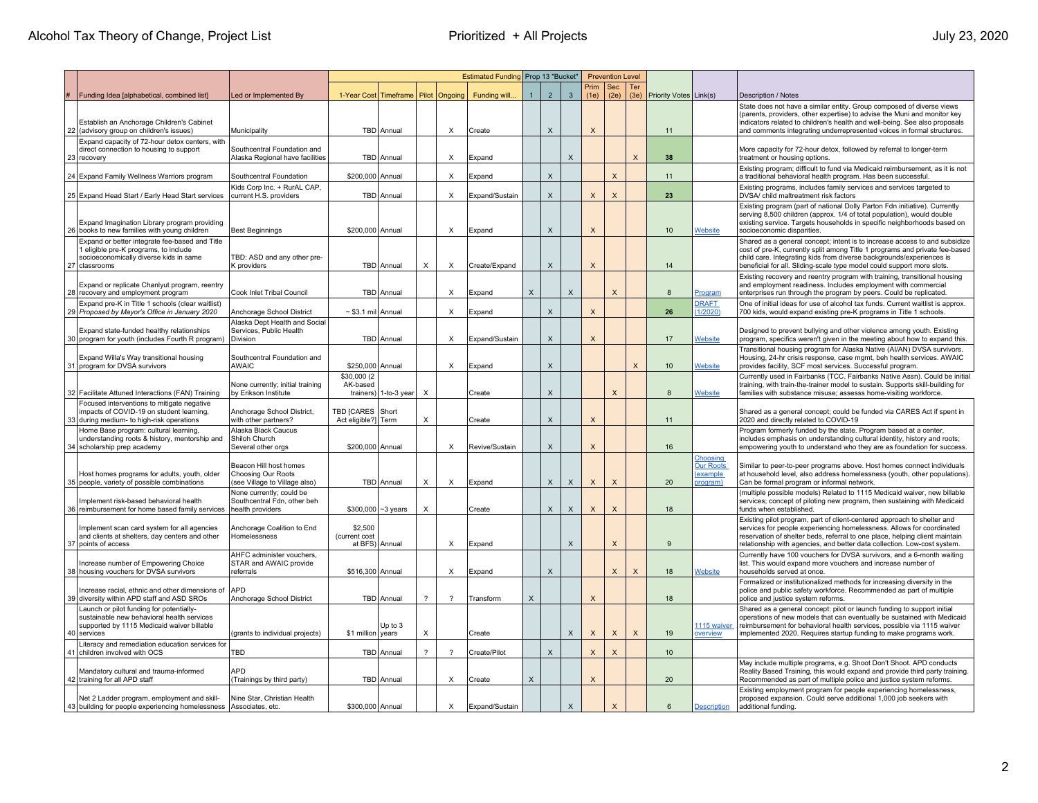| Estimated Funding Prop 13 "Bucket"<br><b>Prevention Level</b>                                                                                       |                                                                                      |                                            |                |                |                           |                |          |                           |              |                           |                         |                           |                          |                                                      |                                                                                                                                                                                                                                                                                                             |
|-----------------------------------------------------------------------------------------------------------------------------------------------------|--------------------------------------------------------------------------------------|--------------------------------------------|----------------|----------------|---------------------------|----------------|----------|---------------------------|--------------|---------------------------|-------------------------|---------------------------|--------------------------|------------------------------------------------------|-------------------------------------------------------------------------------------------------------------------------------------------------------------------------------------------------------------------------------------------------------------------------------------------------------------|
|                                                                                                                                                     |                                                                                      |                                            |                |                |                           |                |          |                           |              | <sup>2</sup> rim          | <b>Sec</b>              | Ter                       |                          |                                                      |                                                                                                                                                                                                                                                                                                             |
| Funding Idea [alphabetical, combined list]                                                                                                          | Led or Implemented By                                                                | 1-Year Cost Timeframe   Pilot              |                |                | <b>Ongoing</b>            | Funding will.  |          | $\overline{2}$            | $\mathbf{3}$ | (1e)                      | (2e)                    | (3e)                      | Priority Votes   Link(s) |                                                      | Description / Notes                                                                                                                                                                                                                                                                                         |
| Establish an Anchorage Children's Cabinet<br>22 (advisory group on children's issues)                                                               | Municipality                                                                         |                                            | TBD Annual     |                | Х                         | Create         |          | X                         |              | X                         |                         |                           | 11                       |                                                      | State does not have a similar entity. Group composed of diverse views<br>(parents, providers, other expertise) to advise the Muni and monitor key<br>indicators related to children's health and well-being. See also proposals<br>and comments integrating underrepresented voices in formal structures.   |
| Expand capacity of 72-hour detox centers, with<br>direct connection to housing to support<br>23 recovery                                            | Southcentral Foundation and<br>Alaska Regional have facilities                       |                                            | TBD Annual     |                | Х                         | Expand         |          |                           | $\mathsf X$  |                           |                         | $\boldsymbol{\mathsf{X}}$ | 38                       |                                                      | More capacity for 72-hour detox, followed by referral to longer-term<br>treatment or housing options.                                                                                                                                                                                                       |
| 24 Expand Family Wellness Warriors program                                                                                                          | Southcentral Foundation                                                              | \$200,000 Annual                           |                |                | X                         | Expand         |          | $\times$                  |              |                           | $\times$                |                           | 11                       |                                                      | Existing program; difficult to fund via Medicaid reimbursement, as it is not<br>a traditional behavioral health program. Has been successful.                                                                                                                                                               |
| 25 Expand Head Start / Early Head Start services                                                                                                    | Kids Corp Inc. + RurAL CAP,<br>current H.S. providers                                |                                            | TBD Annual     |                | X                         | Expand/Sustain |          | X                         |              | $\times$                  | X                       |                           | 23                       |                                                      | Existing programs, includes family services and services targeted to<br>DVSA/ child maltreatment risk factors                                                                                                                                                                                               |
| Expand Imagination Library program providing<br>26 books to new families with young children                                                        | Best Beginnings                                                                      | \$200,000 Annual                           |                |                | Х                         | Expand         |          | $\boldsymbol{\mathsf{X}}$ |              | $\boldsymbol{\mathsf{X}}$ |                         |                           | $10$                     | <u>Website</u>                                       | Existing program (part of national Dolly Parton Fdn initiative). Currently<br>serving 8,500 children (approx. 1/4 of total population), would double<br>existing service. Targets households in specific neighborhoods based on<br>socioeconomic disparities.                                               |
| Expand or better integrate fee-based and Title<br>1 eligible pre-K programs, to include<br>socioeconomically diverse kids in same<br>27 classrooms  | TBD: ASD and any other pre-<br>K providers                                           |                                            | TBD Annual     | X              | Х                         | Create/Expand  |          | X                         |              | X                         |                         |                           | 14                       |                                                      | Shared as a general concept; intent is to increase access to and subsidize<br>cost of pre-K, currently split among Title 1 programs and private fee-based<br>child care. Integrating kids from diverse backgrounds/experiences is<br>beneficial for all. Sliding-scale type model could support more slots. |
| Expand or replicate Chanlyut program, reentry<br>28 recovery and employment program                                                                 | Cook Inlet Tribal Council                                                            |                                            | TBD Annual     |                | X                         | Expand         | $\times$ |                           | X            |                           | X                       |                           | 8                        | Program                                              | Existing recovery and reentry program with training, transitional housing<br>and employment readiness. Includes employment with commercial<br>enterprises run through the program by peers. Could be replicated.                                                                                            |
| Expand pre-K in Title 1 schools (clear waitlist)<br>29 Proposed by Mayor's Office in January 2020                                                   | Anchorage School District                                                            | $\sim$ \$3.1 mil Annual                    |                |                | X                         | Expand         |          | $\boldsymbol{\mathsf{X}}$ |              | X                         |                         |                           | 26                       | <b>DRAFT</b><br>(1/2020)                             | One of initial ideas for use of alcohol tax funds. Current waitlist is approx.<br>700 kids, would expand existing pre-K programs in Title 1 schools.                                                                                                                                                        |
| Expand state-funded healthy relationships<br>30 program for youth (includes Fourth R program)                                                       | Alaska Dept Health and Social<br>Services, Public Health<br>Division                 |                                            | TBD Annual     |                | Х                         | Expand/Sustain |          | $\mathsf X$               |              | X                         |                         |                           | 17                       | <b>Nebsite</b>                                       | Designed to prevent bullying and other violence among youth. Existing<br>program, specifics weren't given in the meeting about how to expand this.                                                                                                                                                          |
| Expand Willa's Way transitional housing<br>31 program for DVSA survivors                                                                            | Southcentral Foundation and<br>AWAIC                                                 | \$250,000 Annual                           |                |                | X                         | Expand         |          | $\times$                  |              |                           |                         | X                         | 10                       | Website                                              | Transitional housing program for Alaska Native (Al/AN) DVSA survivors.<br>Housing, 24-hr crisis response, case mgmt, beh health services. AWAIC<br>provides facility, SCF most services. Successful program.                                                                                                |
| 32 Facilitate Attuned Interactions (FAN) Training                                                                                                   | None currently; initial training<br>by Erikson Institute                             | \$30,000 (2<br>AK-based<br>trainers)       | $ 1-to-3$ year | X              |                           | Create         |          | X                         |              |                           | X                       |                           | $\bf 8$                  | Website                                              | Currently used in Fairbanks (TCC, Fairbanks Native Assn). Could be initial<br>training, with train-the-trainer model to sustain. Supports skill-building for<br>families with substance misuse; assesss home-visiting workforce.                                                                            |
| Focused interventions to mitigate negative<br>impacts of COVID-19 on student learning,<br>33 during medium- to high-risk operations                 | Anchorage School District,<br>with other partners?                                   | TBD [CARES Short<br>Act eligible?] Term    |                | X              |                           | Create         |          | $\times$                  |              | $\mathsf{x}$              |                         |                           | 11                       |                                                      | Shared as a general concept; could be funded via CARES Act if spent in<br>2020 and directly related to COVID-19                                                                                                                                                                                             |
| Home Base program: cultural learning,<br>understanding roots & history, mentorship and<br>34 scholarship prep academy                               | Alaska Black Caucus<br>Shiloh Church<br>Several other orgs                           | \$200,000 Annual                           |                |                | Х                         | Revive/Sustain |          | $\boldsymbol{\mathsf{X}}$ |              | $\boldsymbol{\mathsf{X}}$ |                         |                           | 16                       |                                                      | Program formerly funded by the state. Program based at a center,<br>includes emphasis on understanding cultural identity, history and roots;<br>empowering youth to understand who they are as foundation for success.                                                                                      |
| Host homes programs for adults, youth, older<br>35 people, variety of possible combinations                                                         | Beacon Hill host homes<br><b>Choosing Our Roots</b><br>(see Village to Village also) |                                            | TBD Annual     | X              | X                         | Expand         |          | X                         | $\times$     | $\times$                  | $\times$                |                           | 20                       | Choosing<br><b>Our Roots</b><br>(example<br>program) | Similar to peer-to-peer programs above. Host homes connect individuals<br>at household level, also address homelessness (youth, other populations).<br>Can be formal program or informal network.                                                                                                           |
| mplement risk-based behavioral health<br>36 reimbursement for home based family services                                                            | None currently; could be<br>Southcentral Fdn, other beh<br>health providers          | $$300,000$ ~3 years                        |                | $\pmb{\times}$ |                           | Create         |          | $\mathsf X$               | $\mathsf X$  | $\mathsf X$               | $\overline{\mathsf{x}}$ |                           | 18                       |                                                      | (multiple possible models) Related to 1115 Medicaid waiver, new billable<br>services; concept of piloting new program, then sustaining with Medicaid<br>funds when established.                                                                                                                             |
| Implement scan card system for all agencies<br>and clients at shelters, day centers and other<br>37 points of access                                | Anchorage Coalition to End<br>Homelessness                                           | \$2,500<br>(current cost<br>at BFS) Annual |                |                | Х                         | Expand         |          |                           | $\mathsf X$  |                           | $\times$                |                           | 9                        |                                                      | Existing pilot program, part of client-centered approach to shelter and<br>services for people experiencing homelessness. Allows for coordinated<br>reservation of shelter beds, referral to one place, helping client maintain<br>relationship with agencies, and better data collection. Low-cost system. |
| ncrease number of Empowering Choice<br>38 housing vouchers for DVSA survivors                                                                       | AHFC administer vouchers,<br>STAR and AWAIC provide<br>referrals                     | \$516,300 Annual                           |                |                | $\boldsymbol{\mathsf{x}}$ | Expand         |          | $\boldsymbol{\mathsf{X}}$ |              |                           | X                       | $\boldsymbol{\mathsf{X}}$ | 18                       | <u>Website</u>                                       | Currently have 100 vouchers for DVSA survivors, and a 6-month waiting<br>list. This would expand more vouchers and increase number of<br>households served at once.                                                                                                                                         |
| Increase racial, ethnic and other dimensions of<br>39 diversity within APD staff and ASD SROs                                                       | <b>APD</b><br>Anchorage School District                                              |                                            | TBD Annual     | $\overline{?}$ | $\overline{\mathcal{L}}$  | Transform      | $\times$ |                           |              | $\times$                  |                         |                           | 18                       |                                                      | Formalized or institutionalized methods for increasing diversity in the<br>police and public safety workforce. Recommended as part of multiple<br>police and justice system reforms.                                                                                                                        |
| Launch or pilot funding for potentially-<br>sustainable new behavioral health services<br>supported by 1115 Medicaid waiver billable<br>40 services | (grants to individual projects)                                                      | \$1 million vears                          | Up to 3        | X              |                           | Create         |          |                           | X            | $\times$                  | $\mathsf X$             | $\boldsymbol{\mathsf{X}}$ | 19                       | 1115 waiver<br><u>overview</u>                       | Shared as a general concept: pilot or launch funding to support initial<br>operations of new models that can eventually be sustained with Medicaid<br>reimbursement for behavioral health services, possible via 1115 waiver<br>implemented 2020. Requires startup funding to make programs work.           |
| Literacy and remediation education services for<br>41 children involved with OCS                                                                    | TBD                                                                                  |                                            | TBD Annual     | $\mathcal{P}$  | $\overline{\phantom{a}}$  | Create/Pilot   |          | X                         |              | X                         | $\times$                |                           | 10                       |                                                      |                                                                                                                                                                                                                                                                                                             |
| Mandatory cultural and trauma-informed<br>42 training for all APD staff                                                                             | APD<br>(Trainings by third party)                                                    |                                            | TBD Annual     |                | Х                         | Create         | X        |                           |              | X                         |                         |                           | 20                       |                                                      | May include multiple programs, e.g. Shoot Don't Shoot. APD conducts<br>Reality Based Training, this would expand and provide third party training.<br>Recommended as part of multiple police and justice system reforms.                                                                                    |
| Net 2 Ladder program, employment and skill-<br>43 building for people experiencing homelessness                                                     | Nine Star, Christian Health<br>Associates, etc.                                      | \$300,000 Annual                           |                |                | X                         | Expand/Sustain |          |                           | X            |                           | X                       |                           | 6                        | <b>Description</b>                                   | Existing employment program for people experiencing homelessness,<br>proposed expansion. Could serve additional 1,000 job seekers with<br>additional funding.                                                                                                                                               |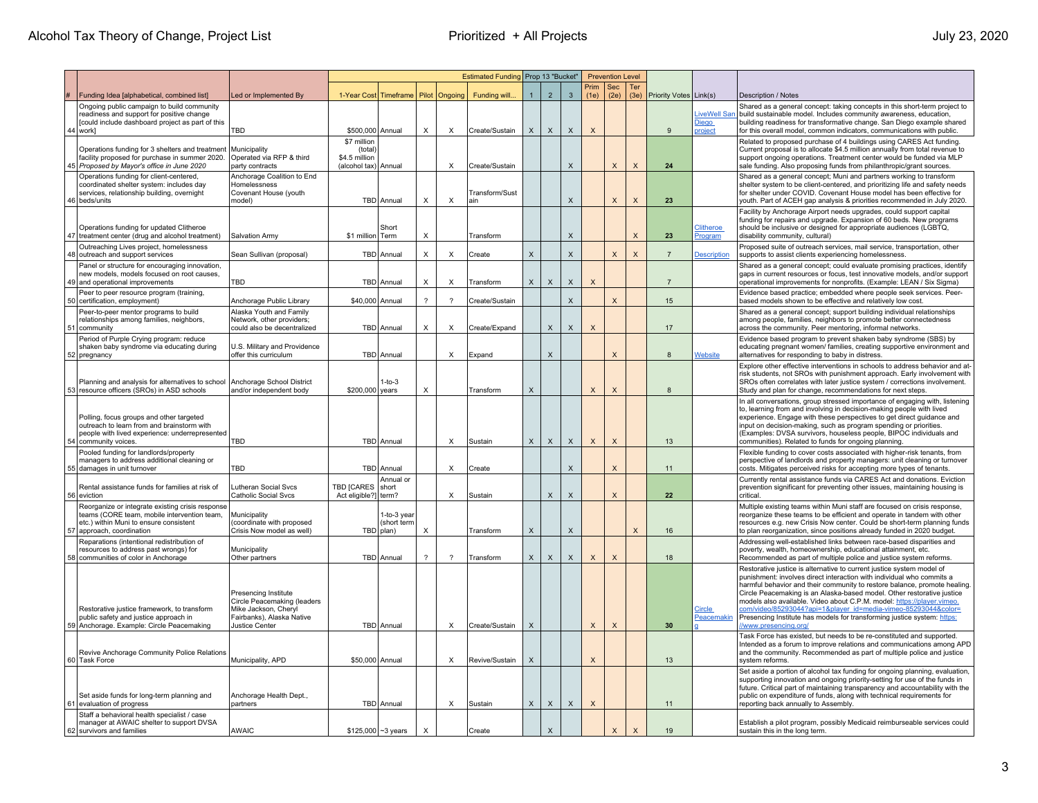|    |                                                                                                                                                                        | Estimated Funding Prop 13 "Bucket"<br><b>Prevention Level</b>                                                                     |                                                                 |                                           |                          |                          |                        |                           |                           |                           |                           |                           |                           |                        |                                                |                                                                                                                                                                                                                                                                                                                                                                                                                                                                                                                                                     |
|----|------------------------------------------------------------------------------------------------------------------------------------------------------------------------|-----------------------------------------------------------------------------------------------------------------------------------|-----------------------------------------------------------------|-------------------------------------------|--------------------------|--------------------------|------------------------|---------------------------|---------------------------|---------------------------|---------------------------|---------------------------|---------------------------|------------------------|------------------------------------------------|-----------------------------------------------------------------------------------------------------------------------------------------------------------------------------------------------------------------------------------------------------------------------------------------------------------------------------------------------------------------------------------------------------------------------------------------------------------------------------------------------------------------------------------------------------|
|    | Funding Idea [alphabetical, combined list]                                                                                                                             | Led or Implemented By                                                                                                             | 1-Year Cost Timeframe   Pilot                                   |                                           |                          | Ongoing                  | Funding will.          | $\overline{1}$            | $\overline{2}$            | $\mathbf{3}$              | Prim<br>(1e)              | Sec<br>(2e)               | Ter<br>(3e)               | Priority Votes Link(s) |                                                | <b>Description / Notes</b>                                                                                                                                                                                                                                                                                                                                                                                                                                                                                                                          |
|    | Ongoing public campaign to build community<br>readiness and support for positive change<br>[could include dashboard project as part of this<br>44 work]                | TBD                                                                                                                               | \$500,000 Annual                                                |                                           | $\times$                 | $\times$                 | Create/Sustain         | $\times$                  | $\times$                  | $\times$                  | $\times$                  |                           |                           | 9                      | <b>LiveWell Sar</b><br><b>Diego</b><br>project | Shared as a general concept: taking concepts in this short-term project to<br>build sustainable model. Includes community awareness, education,<br>building readiness for transformative change. San Diego example shared<br>for this overall model, common indicators, communications with public.                                                                                                                                                                                                                                                 |
|    | Operations funding for 3 shelters and treatment<br>facility proposed for purchase in summer 2020.<br>45 Proposed by Mayor's office in June 2020                        | Municipality<br>Operated via RFP & third<br>party contracts                                                                       | \$7 million<br>(total)<br>\$4.5 million<br>(alcohol tax) Annual |                                           |                          | $\times$                 | Create/Sustain         |                           |                           | $\boldsymbol{\mathsf{X}}$ |                           | $\mathsf X$               | $\boldsymbol{\mathsf{X}}$ | 24                     |                                                | Related to proposed purchase of 4 buildings using CARES Act funding.<br>Current proposal is to allocate \$4.5 million annually from total revenue to<br>support ongoing operations. Treatment center would be funded via MLP<br>sale funding. Also proposing funds from philanthropic/grant sources.                                                                                                                                                                                                                                                |
|    | Operations funding for client-centered,<br>coordinated shelter system: includes day<br>services, relationship building, overnight<br>46 beds/units                     | Anchorage Coalition to End<br>Homelessness<br>Covenant House (youth<br>model)                                                     |                                                                 | TBD Annual                                | X                        | X                        | Transform/Sust<br>lain |                           |                           | $\boldsymbol{\mathsf{X}}$ |                           | $\boldsymbol{\mathsf{X}}$ | $\times$                  | 23                     |                                                | Shared as a general concept; Muni and partners working to transform<br>shelter system to be client-centered, and prioritizing life and safety needs<br>for shelter under COVID. Covenant House model has been effective for<br>youth. Part of ACEH gap analysis & priorities recommended in July 2020.                                                                                                                                                                                                                                              |
| 47 | Operations funding for updated Clitheroe<br>treatment center (drug and alcohol treatment)                                                                              | Salvation Army                                                                                                                    | \$1 million Term                                                | Short                                     | X                        |                          | Transform              |                           |                           | X                         |                           |                           | $\times$                  | 23                     | <b>Clitheroe</b><br>Program                    | Facility by Anchorage Airport needs upgrades, could support capital<br>funding for repairs and upgrade. Expansion of 60 beds. New programs<br>should be inclusive or designed for appropriate audiences (LGBTQ,<br>disability community, cultural)                                                                                                                                                                                                                                                                                                  |
|    | Outreaching Lives project, homelessness<br>48 outreach and support services                                                                                            | Sean Sullivan (proposal)                                                                                                          |                                                                 | TBD Annual                                | X                        | х                        | Create                 | X                         |                           | $\boldsymbol{\mathsf{X}}$ |                           | X                         | $\boldsymbol{\mathsf{x}}$ | $\overline{7}$         | <b>Description</b>                             | Proposed suite of outreach services, mail service, transportation, other<br>supports to assist clients experiencing homelessness.                                                                                                                                                                                                                                                                                                                                                                                                                   |
|    | Panel or structure for encouraging innovation,<br>new models, models focused on root causes,<br>49 and operational improvements                                        | TBD                                                                                                                               |                                                                 | TBD Annual                                | Х                        | $\times$                 | Transform              | X                         | $\boldsymbol{\mathsf{X}}$ | X                         | $\boldsymbol{\mathsf{X}}$ |                           |                           | $\overline{7}$         |                                                | Shared as a general concept; could evaluate promising practices, identify<br>gaps in current resources or focus, test innovative models, and/or support<br>operational improvements for nonprofits. (Example: LEAN / Six Sigma)                                                                                                                                                                                                                                                                                                                     |
|    | Peer to peer resource program (training,<br>50 certification, employment)                                                                                              | Anchorage Public Library                                                                                                          | \$40,000 Annual                                                 |                                           | $\overline{?}$           | $\overline{\phantom{a}}$ | Create/Sustain         |                           |                           | X                         |                           | $\times$                  |                           | 15                     |                                                | Evidence based practice; embedded where people seek services. Peer-<br>based models shown to be effective and relatively low cost.                                                                                                                                                                                                                                                                                                                                                                                                                  |
|    | Peer-to-peer mentor programs to build<br>relationships among families, neighbors,<br>51 community                                                                      | Alaska Youth and Family<br>Network, other providers;<br>could also be decentralized                                               |                                                                 | TBD Annual                                | $\times$                 | Х                        | Create/Expand          |                           | $\times$                  | $\mathsf{X}$              | $\boldsymbol{\mathsf{X}}$ |                           |                           | 17                     |                                                | Shared as a general concept; support building individual relationships<br>among people, families, neighbors to promote better connectedness<br>across the community. Peer mentoring, informal networks.                                                                                                                                                                                                                                                                                                                                             |
|    | Period of Purple Crying program: reduce<br>shaken baby syndrome via educating during<br>52 pregnancy                                                                   | U.S. Military and Providence<br>offer this curriculum                                                                             |                                                                 | TBD Annual                                |                          | X                        | Expand                 |                           | $\boldsymbol{\mathsf{X}}$ |                           |                           | $\mathsf{x}$              |                           | 8                      | Website                                        | Evidence based program to prevent shaken baby syndrome (SBS) by<br>educating pregnant women/ families, creating supportive environment and<br>alternatives for responding to baby in distress.                                                                                                                                                                                                                                                                                                                                                      |
|    | Planning and analysis for alternatives to school<br>53 resource officers (SROs) in ASD schools                                                                         | Anchorage School District<br>and/or independent body                                                                              | \$200,000 years                                                 | $1-to-3$                                  | X                        |                          | Transform              | X                         |                           |                           | $\times$                  | $\times$                  |                           | $\mathbf{8}$           |                                                | Explore other effective interventions in schools to address behavior and at-<br>risk students, not SROs with punishment approach. Early involvement with<br>SROs often correlates with later justice system / corrections involvement.<br>Study and plan for change, recommendations for next steps.                                                                                                                                                                                                                                                |
| 54 | Polling, focus groups and other targeted<br>outreach to learn from and brainstorm with<br>people with lived experience: underrepresented<br>community voices.          | TBD                                                                                                                               |                                                                 | TBD   Annual                              |                          | $\times$                 | Sustain                | X                         | $\boldsymbol{\mathsf{X}}$ | $\mathsf X$               | $\mathsf X$               | $\boldsymbol{\mathsf{X}}$ |                           | 13                     |                                                | In all conversations, group stressed importance of engaging with, listening<br>to, learning from and involving in decision-making people with lived<br>experience. Engage with these perspectives to get direct guidance and<br>input on decision-making, such as program spending or priorities.<br>(Examples: DVSA survivors, houseless people, BIPOC individuals and<br>communities). Related to funds for ongoing planning.                                                                                                                     |
|    | Pooled funding for landlords/property<br>managers to address additional cleaning or<br>55 damages in unit turnover                                                     | TBD                                                                                                                               |                                                                 | TBD Annual                                |                          | X                        | Create                 |                           |                           | X                         |                           | $\mathsf X$               |                           | 11                     |                                                | Flexible funding to cover costs associated with higher-risk tenants, from<br>perspective of landlords and property managers: unit cleaning or turnover<br>costs. Mitigates perceived risks for accepting more types of tenants.                                                                                                                                                                                                                                                                                                                     |
|    | Rental assistance funds for families at risk of<br>56 eviction                                                                                                         | Lutheran Social Sycs<br>Catholic Social Svcs                                                                                      | TBD [CARES<br>Act eligible?] term?                              | Annual or<br>short                        |                          | $\times$                 | Sustain                |                           | $\times$                  | $\boldsymbol{\mathsf{X}}$ |                           | $\mathsf{X}$              |                           | 22                     |                                                | Currently rental assistance funds via CARES Act and donations. Eviction<br>prevention significant for preventing other issues, maintaining housing is<br>critical                                                                                                                                                                                                                                                                                                                                                                                   |
|    | Reorganize or integrate existing crisis response<br>teams (CORE team, mobile intervention team,<br>etc.) within Muni to ensure consistent<br>57 approach, coordination | Municipality<br>(coordinate with proposed<br>Crisis Now model as well)                                                            |                                                                 | 1-to-3 year<br>(short term<br>TBD   plan) | $\pmb{\times}$           |                          | Transform              | $\boldsymbol{\mathsf{X}}$ |                           | X                         |                           |                           | $\boldsymbol{\mathsf{X}}$ | 16                     |                                                | Multiple existing teams within Muni staff are focused on crisis response,<br>reorganize these teams to be efficient and operate in tandem with other<br>resources e.g. new Crisis Now center. Could be short-term planning funds<br>to plan reorganization, since positions already funded in 2020 budget.                                                                                                                                                                                                                                          |
|    | Reparations (intentional redistribution of<br>resources to address past wrongs) for<br>58 communities of color in Anchorage                                            | Municipality<br>Other partners                                                                                                    |                                                                 | TBD Annual                                | $\overline{\mathcal{L}}$ | $\overline{\phantom{a}}$ | Transform              | X                         | $\mathsf X$               | X                         | $\mathsf X$               | $\boldsymbol{\mathsf{X}}$ |                           | 18                     |                                                | Addressing well-established links between race-based disparities and<br>poverty, wealth, homeownership, educational attainment, etc.<br>Recommended as part of multiple police and justice system reforms.                                                                                                                                                                                                                                                                                                                                          |
|    | Restorative justice framework, to transform<br>public safety and justice approach in<br>59 Anchorage. Example: Circle Peacemaking                                      | Presencing Institute<br>Circle Peacemaking (leaders<br>Mike Jackson, Cheryl<br>Fairbanks), Alaska Native<br><b>Justice Center</b> |                                                                 | TBD Annual                                |                          | $\times$                 | Create/Sustain         | X                         |                           |                           | $\times$                  | $\boldsymbol{\mathsf{X}}$ |                           | 30                     | <b>Circle</b><br><b>Peacemakin</b>             | Restorative justice is alternative to current justice system model of<br>punishment: involves direct interaction with individual who commits a<br>harmful behavior and their community to restore balance, promote healing.<br>Circle Peacemaking is an Alaska-based model. Other restorative justice<br>models also available. Video about C.P.M. model: https://player.vimeo.<br>com/video/85293044?api=1&player_id=media-vimeo-85293044&color=<br>Presencing Institute has models for transforming justice system: https:<br>www.presencing.org/ |
|    | Revive Anchorage Community Police Relations<br>60 Task Force                                                                                                           | Municipality, APD                                                                                                                 | \$50,000 Annual                                                 |                                           |                          | $\times$                 | Revive/Sustain         | X                         |                           |                           | $\boldsymbol{\mathsf{X}}$ |                           |                           | 13                     |                                                | Task Force has existed, but needs to be re-constituted and supported.<br>Intended as a forum to improve relations and communications among APD<br>and the community. Recommended as part of multiple police and justice<br>system reforms.                                                                                                                                                                                                                                                                                                          |
|    | Set aside funds for long-term planning and<br>61 evaluation of progress                                                                                                | Anchorage Health Dept.,<br>partners                                                                                               |                                                                 | TBD   Annual                              |                          | X                        | Sustain                | $\times$                  | $\boldsymbol{\mathsf{X}}$ | $\times$                  | X                         |                           |                           | 11                     |                                                | Set aside a portion of alcohol tax funding for ongoing planning, evaluation,<br>supporting innovation and ongoing priority-setting for use of the funds in<br>future. Critical part of maintaining transparency and accountability with the<br>public on expenditure of funds, along with technical requirements for<br>reporting back annually to Assembly.                                                                                                                                                                                        |
|    | Staff a behavioral health specialist / case<br>manager at AWAIC shelter to support DVSA<br>62 survivors and families                                                   | <b>AWAIC</b>                                                                                                                      | $$125,000$ ~3 years                                             |                                           | X                        |                          | Create                 |                           | $\mathsf X$               |                           |                           | $\mathsf{X}$              | $\times$                  | 19                     |                                                | Establish a pilot program, possibly Medicaid reimburseable services could<br>sustain this in the long term.                                                                                                                                                                                                                                                                                                                                                                                                                                         |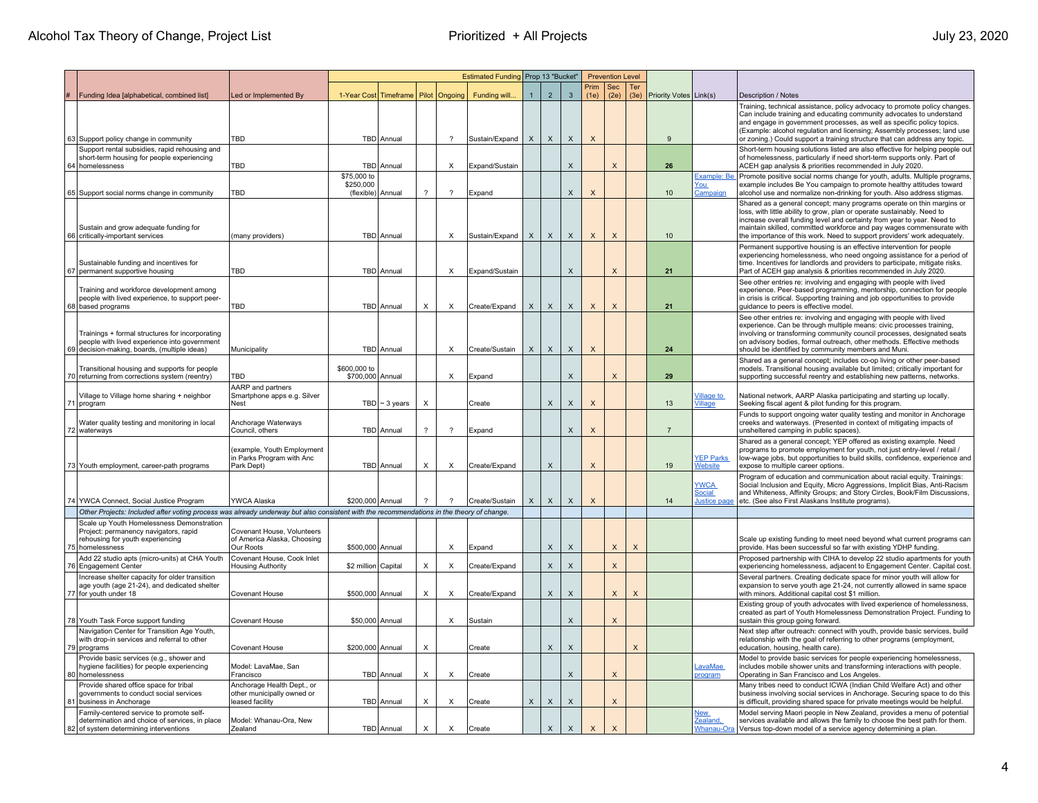|    | Estimated Funding Prop 13 "Bucket"<br><b>Prevention Level</b>                                                                                   |                                                                             |                                               |                    |                           |                           |                                |          |                                             |                     |                                   |              |                           |                             |                                       |                                                                                                                                                                                                                                                                                                                                                                                                               |
|----|-------------------------------------------------------------------------------------------------------------------------------------------------|-----------------------------------------------------------------------------|-----------------------------------------------|--------------------|---------------------------|---------------------------|--------------------------------|----------|---------------------------------------------|---------------------|-----------------------------------|--------------|---------------------------|-----------------------------|---------------------------------------|---------------------------------------------------------------------------------------------------------------------------------------------------------------------------------------------------------------------------------------------------------------------------------------------------------------------------------------------------------------------------------------------------------------|
|    |                                                                                                                                                 |                                                                             |                                               |                    |                           |                           |                                |          |                                             |                     | Prim                              | Sec          | Ter                       |                             |                                       |                                                                                                                                                                                                                                                                                                                                                                                                               |
|    | Funding Idea [alphabetical, combined list]<br>63 Support policy change in community                                                             | Led or Implemented By<br>TBD                                                | 1-Year Cost Timeframe   Pilot   Ongoing       | TBD   Annual       |                           | $\overline{\phantom{0}}$  | Funding will<br>Sustain/Expand | X        | $\overline{2}$<br>$\boldsymbol{\mathsf{X}}$ | 3 <sup>5</sup><br>X | (1e)<br>$\boldsymbol{\mathsf{X}}$ | (2e)         | (3e)                      | Priority Votes Link(s)<br>9 |                                       | Description / Notes<br>Training, technical assistance, policy advocacy to promote policy changes.<br>Can include training and educating community advocates to understand<br>and engage in government processes, as well as specific policy topics.<br>(Example: alcohol regulation and licensing; Assembly processes; land use<br>or zoning.) Could support a training structure that can address any topic. |
|    | Support rental subsidies, rapid rehousing and<br>short-term housing for people experiencing<br>64 homelessness                                  | TBD                                                                         |                                               | TBD Annual         |                           | $\times$                  | Expand/Sustain                 |          |                                             | X                   |                                   | X            |                           | 26                          |                                       | Short-term housing solutions listed are also effective for helping people out<br>of homelessness, particularly if need short-term supports only. Part of<br>ACEH gap analysis & priorities recommended in July 2020.                                                                                                                                                                                          |
|    | 65 Support social norms change in community                                                                                                     | TBD                                                                         | \$75,000 to<br>\$250,000<br>(flexible) Annual |                    | $\overline{?}$            | $\overline{\mathcal{E}}$  | Expand                         |          |                                             | X                   | $\boldsymbol{\mathsf{X}}$         |              |                           | 10                          | Example: Be<br>You<br><b>Campaign</b> | Promote positive social norms change for youth, adults. Multiple programs<br>example includes Be You campaign to promote healthy attitudes toward<br>alcohol use and normalize non-drinking for youth. Also address stigmas.                                                                                                                                                                                  |
|    | Sustain and grow adequate funding for<br>66 critically-important services                                                                       | (many providers)                                                            |                                               | TBD Annual         |                           | Х                         | Sustain/Expand                 | X        | $\times$                                    | X                   | $\boldsymbol{\mathsf{x}}$         | $\times$     |                           | 10                          |                                       | Shared as a general concept; many programs operate on thin margins or<br>loss, with little ability to grow, plan or operate sustainably. Need to<br>increase overall funding level and certainty from year to year. Need to<br>maintain skilled, committed workforce and pay wages commensurate with<br>the importance of this work. Need to support providers' work adequately.                              |
|    | Sustainable funding and incentives for<br>67 permanent supportive housing                                                                       | TBD                                                                         |                                               | TBD Annual         |                           | X                         | Expand/Sustain                 |          |                                             | X                   |                                   | $\times$     |                           | 21                          |                                       | Permanent supportive housing is an effective intervention for people<br>experiencing homelessness, who need ongoing assistance for a period of<br>time. Incentives for landlords and providers to participate, mitigate risks.<br>Part of ACEH gap analysis & priorities recommended in July 2020.                                                                                                            |
| 68 | Training and workforce development among<br>people with lived experience, to support peer-<br>based programs                                    | TBD                                                                         |                                               | TBD   Annual       | X                         | $\times$                  | Create/Expand                  | X        | X                                           | X                   | X                                 | $\times$     |                           | 21                          |                                       | See other entries re: involving and engaging with people with lived<br>experience. Peer-based programming, mentorship, connection for people<br>in crisis is critical. Supporting training and job opportunities to provide<br>guidance to peers is effective model.                                                                                                                                          |
|    | Trainings + formal structures for incorporating<br>people with lived experience into government<br>69 decision-making, boards, (multiple ideas) | Municipality                                                                |                                               | TBD Annual         |                           | $\boldsymbol{\mathsf{x}}$ | Create/Sustain                 | $\times$ | $\boldsymbol{\mathsf{X}}$                   | $\times$            | $\times$                          |              |                           | 24                          |                                       | See other entries re: involving and engaging with people with lived<br>experience. Can be through multiple means: civic processes training,<br>involving or transforming community council processes, designated seats<br>on advisory bodies, formal outreach, other methods. Effective methods<br>should be identified by community members and Muni.                                                        |
|    | Transitional housing and supports for people<br>70 returning from corrections system (reentry)                                                  | TBD                                                                         | \$600,000 to<br>\$700,000 Annual              |                    |                           | $\times$                  | Expand                         |          |                                             | $\mathsf X$         |                                   | $\mathsf{X}$ |                           | 29                          |                                       | Shared as a general concept; includes co-op living or other peer-based<br>models. Transitional housing available but limited; critically important for<br>supporting successful reentry and establishing new patterns, networks.                                                                                                                                                                              |
|    | Village to Village home sharing + neighbor<br>71 program                                                                                        | AARP and partners<br>Smartphone apps e.g. Silver<br>Nest                    |                                               | TBD $\sim$ 3 years | X                         |                           | Create                         |          | $\mathsf X$                                 | $\mathsf X$         | $\boldsymbol{\mathsf{X}}$         |              |                           | 13                          | <b>Village to</b><br>Village          | National network, AARP Alaska participating and starting up locally.<br>Seeking fiscal agent & pilot funding for this program                                                                                                                                                                                                                                                                                 |
|    | Water quality testing and monitoring in local<br>72 waterways                                                                                   | Anchorage Waterways<br>Council, others                                      |                                               | TBD Annual         | $\overline{?}$            | $\overline{\phantom{0}}$  | Expand                         |          |                                             | X                   | $\boldsymbol{\mathsf{X}}$         |              |                           | $\overline{7}$              |                                       | Funds to support ongoing water quality testing and monitor in Anchorage<br>creeks and waterways. (Presented in context of mitigating impacts of<br>unsheltered camping in public spaces).                                                                                                                                                                                                                     |
|    | 73 Youth employment, career-path programs                                                                                                       | (example, Youth Employment<br>in Parks Program with Anc<br>Park Dept)       |                                               | TBD Annual         | X                         | X                         | Create/Expand                  |          | X                                           |                     | $\boldsymbol{\mathsf{X}}$         |              |                           | 19                          | <b>YEP Parks</b><br><u>Website</u>    | Shared as a general concept; YEP offered as existing example. Need<br>programs to promote employment for youth, not just entry-level / retail /<br>low-wage jobs, but opportunities to build skills, confidence, experience and<br>expose to multiple career options.                                                                                                                                         |
|    | 74 YWCA Connect, Social Justice Program                                                                                                         | YWCA Alaska                                                                 | \$200,000 Annual                              |                    | $\mathcal{P}$             | $\gamma$                  | Create/Sustain                 | $\times$ | $\mathsf X$                                 | $\mathsf X$         | $\boldsymbol{\mathsf{X}}$         |              |                           | 14                          | <b>YWCA</b><br>Social<br>lustice page | Program of education and communication about racial equity. Trainings:<br>Social Inclusion and Equity, Micro Aggressions, Implicit Bias, Anti-Racism<br>and Whiteness, Affinity Groups; and Story Circles, Book/Film Discussions,<br>etc. (See also First Alaskans Institute programs).                                                                                                                       |
|    | Other Projects: Included after voting process was already underway but also consistent with the recommendations in the theory of change.        |                                                                             |                                               |                    |                           |                           |                                |          |                                             |                     |                                   |              |                           |                             |                                       |                                                                                                                                                                                                                                                                                                                                                                                                               |
| 75 | Scale up Youth Homelessness Demonstration<br>Project: permanency navigators, rapid<br>rehousing for youth experiencing<br>homelessness          | Covenant House, Volunteers<br>of America Alaska, Choosing<br>Our Roots      | \$500,000 Annual                              |                    |                           | Х                         | Expand                         |          | X                                           | X                   |                                   | X            | $\mathsf X$               |                             |                                       | Scale up existing funding to meet need beyond what current programs can<br>provide. Has been successful so far with existing YDHP funding.                                                                                                                                                                                                                                                                    |
|    | Add 22 studio apts (micro-units) at CHA Youth<br>76 Engagement Center                                                                           | Covenant House, Cook Inlet<br>Housing Authority                             | \$2 million Capital                           |                    | $\boldsymbol{\mathsf{X}}$ | $\times$                  | Create/Expand                  |          | $\mathsf X$                                 | $\mathsf X$         |                                   | $\times$     |                           |                             |                                       | Proposed partnership with CIHA to develop 22 studio apartments for youth<br>experiencing homelessness, adjacent to Engagement Center. Capital cost.                                                                                                                                                                                                                                                           |
|    | Increase shelter capacity for older transition<br>age youth (age 21-24), and dedicated shelter<br>77 for youth under 18                         | Covenant House                                                              | \$500,000 Annual                              |                    | Х                         | X                         | Create/Expand                  |          | X                                           | X                   |                                   | X            | $\boldsymbol{\mathsf{X}}$ |                             |                                       | Several partners. Creating dedicate space for minor youth will allow for<br>expansion to serve youth age 21-24, not currently allowed in same space<br>with minors. Additional capital cost \$1 million.                                                                                                                                                                                                      |
|    | 78 Youth Task Force support funding                                                                                                             | <b>Covenant House</b>                                                       | \$50,000 Annual                               |                    |                           | Х                         | Sustain                        |          |                                             | X                   |                                   | $\times$     |                           |                             |                                       | Existing group of youth advocates with lived experience of homelessness,<br>created as part of Youth Homelessness Demonstration Project. Funding to<br>sustain this group going forward.                                                                                                                                                                                                                      |
|    | Navigation Center for Transition Age Youth,<br>with drop-in services and referral to other<br>79 programs                                       | <b>Covenant House</b>                                                       | \$200,000 Annual                              |                    | Х                         |                           | Create                         |          | X                                           | X                   |                                   |              | X                         |                             |                                       | Next step after outreach: connect with youth, provide basic services, build<br>relationship with the goal of referring to other programs (employment,<br>education, housing, health care).                                                                                                                                                                                                                    |
|    | Provide basic services (e.g., shower and<br>hygiene facilities) for people experiencing<br>80   homelessness                                    | Model: LavaMae, San<br>Francisco                                            |                                               | TBD Annual         | Х                         | X                         | Create                         |          |                                             | X                   |                                   | $\times$     |                           |                             | LavaMae<br>program                    | Model to provide basic services for people experiencing homelessness,<br>includes mobile shower units and transforming interactions with people.<br>Operating in San Francisco and Los Angeles.                                                                                                                                                                                                               |
|    | Provide shared office space for tribal<br>governments to conduct social services<br>81 business in Anchorage                                    | Anchorage Health Dept., or<br>other municipally owned or<br>leased facility |                                               | TBD Annual         | X                         | $\times$                  | Create                         | $\times$ | $\times$                                    | X                   |                                   | $\times$     |                           |                             |                                       | Many tribes need to conduct ICWA (Indian Child Welfare Act) and other<br>business involving social services in Anchorage. Securing space to do this<br>is difficult, providing shared space for private meetings would be helpful.                                                                                                                                                                            |
|    | Family-centered service to promote self-<br>determination and choice of services, in place<br>82 of system determining interventions            | Model: Whanau-Ora, New<br>Zealand                                           |                                               | TBD Annual         | X                         | X                         | Create                         |          | $\mathsf X$                                 | $\mathsf X$         | $\mathsf{X}$                      | $\times$     |                           |                             | <b>New</b><br>Zealand,<br>Whanau-Ora  | Model serving Maori people in New Zealand, provides a menu of potential<br>services available and allows the family to choose the best path for them.<br>Versus top-down model of a service agency determining a plan.                                                                                                                                                                                        |